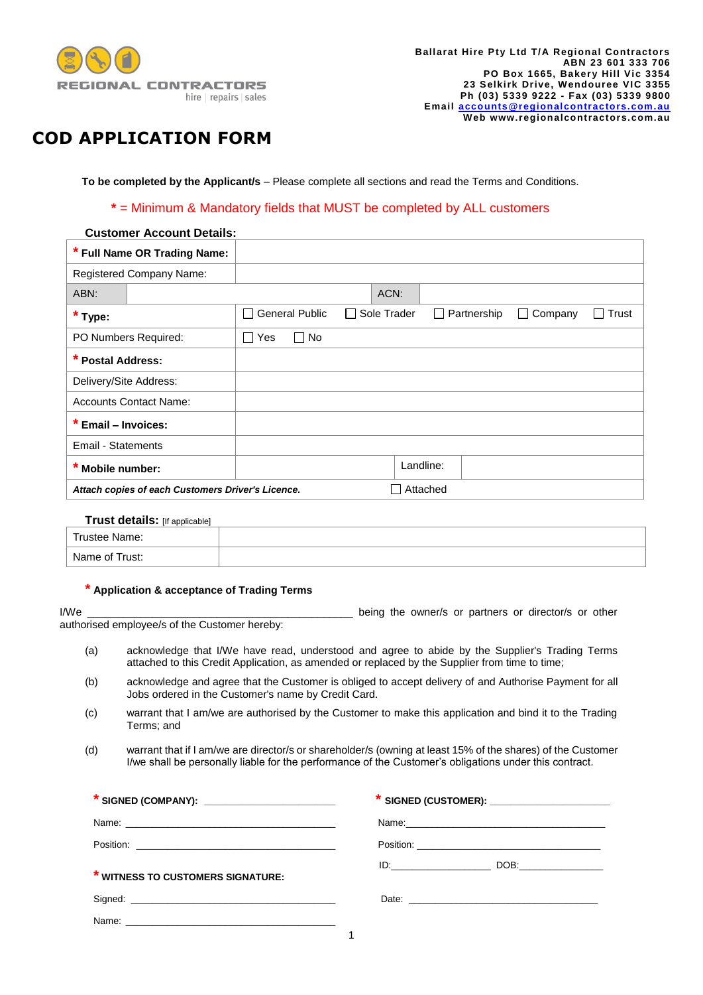

# **COD APPLICATION FORM**

**To be completed by the Applicant/s** – Please complete all sections and read the Terms and Conditions.

### **\*** = Minimum & Mandatory fields that MUST be completed by ALL customers

|                                                   | <b>Customer Account Details:</b> |                     |                       |           |             |           |                    |                   |       |
|---------------------------------------------------|----------------------------------|---------------------|-----------------------|-----------|-------------|-----------|--------------------|-------------------|-------|
| * Full Name OR Trading Name:                      |                                  |                     |                       |           |             |           |                    |                   |       |
| Registered Company Name:                          |                                  |                     |                       |           |             |           |                    |                   |       |
| ABN:                                              |                                  |                     |                       |           | ACN:        |           |                    |                   |       |
| $*$ Type:                                         |                                  | $\Box$              | <b>General Public</b> | $\sim 10$ | Sole Trader |           | $\Box$ Partnership | Company<br>$\Box$ | Trust |
|                                                   | PO Numbers Required:             | Yes<br>$\mathsf{L}$ | □ No                  |           |             |           |                    |                   |       |
| * Postal Address:                                 |                                  |                     |                       |           |             |           |                    |                   |       |
| Delivery/Site Address:                            |                                  |                     |                       |           |             |           |                    |                   |       |
| <b>Accounts Contact Name:</b>                     |                                  |                     |                       |           |             |           |                    |                   |       |
| <b>Email - Invoices:</b>                          |                                  |                     |                       |           |             |           |                    |                   |       |
| <b>Email - Statements</b>                         |                                  |                     |                       |           |             |           |                    |                   |       |
| * Mobile number:                                  |                                  |                     |                       |           |             | Landline: |                    |                   |       |
| Attach copies of each Customers Driver's Licence. |                                  |                     |                       |           |             | Attached  |                    |                   |       |

#### **Trust details:** [If applicable]

| Trustee Name:  |  |
|----------------|--|
| Name of Trust: |  |

#### **\* Application & acceptance of Trading Terms**

I/We \_\_\_\_\_\_\_\_\_\_\_\_\_\_\_\_\_\_\_\_\_\_\_\_\_\_\_\_\_\_\_\_\_\_\_\_\_\_\_\_\_\_\_\_\_ being the owner/s or partners or director/s or other authorised employee/s of the Customer hereby:

- (a) acknowledge that I/We have read, understood and agree to abide by the Supplier's Trading Terms attached to this Credit Application, as amended or replaced by the Supplier from time to time;
- (b) acknowledge and agree that the Customer is obliged to accept delivery of and Authorise Payment for all Jobs ordered in the Customer's name by Credit Card.
- (c) warrant that I am/we are authorised by the Customer to make this application and bind it to the Trading Terms; and
- (d) warrant that if I am/we are director/s or shareholder/s (owning at least 15% of the shares) of the Customer I/we shall be personally liable for the performance of the Customer's obligations under this contract.

| * SIGNED (COMPANY): ________________________ | * SIGNED (CUSTOMER): ________________________ |
|----------------------------------------------|-----------------------------------------------|
|                                              |                                               |
|                                              |                                               |
| * WITNESS TO CUSTOMERS SIGNATURE:            | $ID:$ $I = \{I, I\}$                          |
|                                              |                                               |
|                                              |                                               |